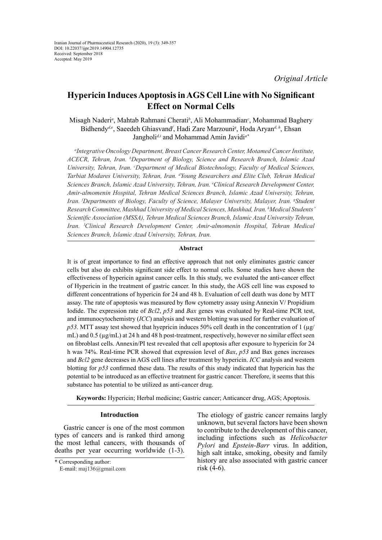# **Hypericin Induces Apoptosis in AGS Cell Line with No Significant Effect on Normal Cells**

Misagh Naderi*<sup>a</sup>* , Mahtab Rahmani Cherati*<sup>b</sup>* , Ali Mohammadian*<sup>c</sup>* , Mohammad Baghery Bidhendy<sup>*de*</sup>, Saeedeh Ghiasvand<sup>f</sup>, Hadi Zare Marzouni<sup>g</sup>, Hoda Aryan<sup>*d, h*</sup>, Ehsan Jangholi*d,i* and Mohammad Amin Javidi*a\**

*a Integrative Oncology Department, Breast Cancer Research Center, Motamed Cancer Institute, ACECR, Tehran, Iran. b Department of Biology, Science and Research Branch, Islamic Azad University, Tehran, Iran. c Department of Medical Biotechnology, Faculty of Medical Sciences,*  Tarbiat Modares University, Tehran, Iran. <sup>d</sup>Young Researchers and Elite Club, Tehran Medical *Sciences Branch, Islamic Azad University, Tehran, Iran. e Clinical Research Development Center, Amir-almomenin Hospital, Tehran Medical Sciences Branch, Islamic Azad University, Tehran, Iran. f Departments of Biology, Faculty of Science, Malayer University, Malayer, Iran. g Student Research Committee, Mashhad University of Medical Sciences, Mashhad, Iran. h Medical Students' Scientific Association (MSSA), Tehran Medical Sciences Branch, Islamic Azad University Tehran, Iran. I Clinical Research Development Center, Amir-almomenin Hospital, Tehran Medical Sciences Branch, Islamic Azad University, Tehran, Iran.*

# **Abstract**

It is of great importance to find an effective approach that not only eliminates gastric cancer cells but also do exhibits significant side effect to normal cells. Some studies have shown the effectiveness of hypericin against cancer cells. In this study, we evaluated the anti-cancer effect of Hypericin in the treatment of gastric cancer. In this study, the AGS cell line was exposed to different concentrations of hypericin for 24 and 48 h. Evaluation of cell death was done by MTT assay. The rate of apoptosis was measured by flow cytometry assay using Annexin V/ Propidium Iodide. The expression rate of *Bcl2*, *p53* and *Bax* genes was evaluated by Real-time PCR test, and immunocytochemistry (*ICC*) analysis and western blotting was used for further evaluation of *p53*. MTT assay test showed that hyepricin induces 50% cell death in the concentration of 1 ( $\mu$ g/ mL) and  $0.5 \, (\mu g/mL)$  at 24 h and 48 h post-treatment, respectively, however no similar effect seen on fibroblast cells. Annexin/PI test revealed that cell apoptosis after exposure to hypericin for 24 h was 74%. Real-time PCR showed that expression level of *Bax*, *p53* and Bax genes increases and *Bcl2* gene decreases in AGS cell lines after treatment by hypericin. *ICC* analysis and western blotting for *p53* confirmed these data. The results of this study indicated that hypericin has the potential to be introduced as an effective treatment for gastric cancer. Therefore, it seems that this substance has potential to be utilized as anti-cancer drug.

**Keywords:** Hypericin; Herbal medicine; Gastric cancer; Anticancer drug, AGS; Apoptosis.

## **Introduction**

Gastric cancer is one of the most common types of cancers and is ranked third among the most lethal cancers, with thousands of deaths per year occurring worldwide (1-3).

The etiology of gastric cancer remains largly unknown, but several factors have been shown to contribute to the development of this cancer, including infections such as *Helicobacter Pylori* and *Epstein-Barr* virus. In addition, high salt intake, smoking, obesity and family history are also associated with gastric cancer risk (4-6).

<sup>\*</sup> Corresponding author:

E-mail: maj136@gmail.com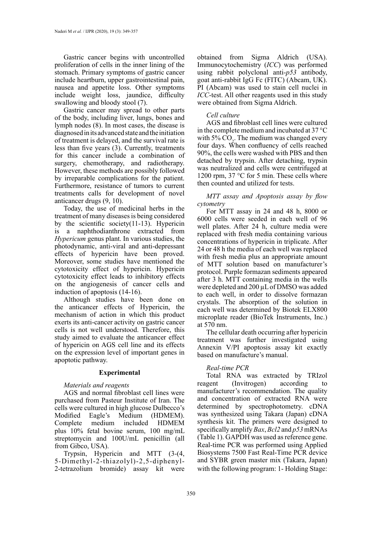Gastric cancer begins with uncontrolled proliferation of cells in the inner lining of the stomach. Primary symptoms of gastric cancer include heartburn, upper gastrointestinal pain, nausea and appetite loss. Other symptoms include weight loss, jaundice, difficulty swallowing and bloody stool (7).

Gastric cancer may spread to other parts of the body, including liver, lungs, bones and lymph nodes (8). In most cases, the disease is diagnosed in its advanced state and the initiation of treatment is delayed, and the survival rate is less than five years (3). Currently, treatments for this cancer include a combination of surgery, chemotherapy, and radiotherapy. However, these methods are possibly followed by irreparable complications for the patient. Furthermore, resistance of tumors to current treatments calls for development of novel anticancer drugs (9, 10).

Today, the use of medicinal herbs in the treatment of many diseases is being considered by the scientific society(11-13). Hypericin is a naphthodianthrone extracted from *Hypericum* genus plant. In various studies, the photodynamic, anti-viral and anti-depressant effects of hypericin have been proved. Moreover, some studies have mentioned the cytotoxicity effect of hypericin. Hypericin cytotoxicity effect leads to inhibitory effects on the angiogenesis of cancer cells and induction of apoptosis (14-16).

Although studies have been done on the anticancer effects of Hypericin, the mechanism of action in which this product exerts its anti-cancer activity on gastric cancer cells is not well understood. Therefore, this study aimed to evaluate the anticancer effect of hypericin on AGS cell line and its effects on the expression level of important genes in apoptotic pathway.

#### **Experimental**

## *Materials and reagents*

AGS and normal fibroblast cell lines were purchased from Pasteur Institute of Iran. The cells were cultured in high glucose Dulbecco's Modified Eagle's Medium (HDMEM). Complete medium included HDMEM plus 10% fetal bovine serum, 100 mg/mL streptomycin and 100U/mL penicillin (all from Gibco, USA).

Trypsin, Hypericin and MTT (3-(4, 5-Dimethyl-2-thiazolyl)-2,5-diphenyl-2-tetrazolium bromide) assay kit were obtained from Sigma Aldrich (USA). Immunocytochemistry (*ICC*) was performed using rabbit polyclonal anti-*p53* antibody, goat anti-rabbit IgG Fc (FITC) (Abcam, UK). PI (Abcam) was used to stain cell nuclei in *ICC*-test. All other reagents used in this study were obtained from Sigma Aldrich.

# *Cell culture*

AGS and fibroblast cell lines were cultured in the complete medium and incubated at 37 °C with 5%  $CO<sub>2</sub>$ . The medium was changed every four days. When confluency of cells reached 90%, the cells were washed with PBS and then detached by trypsin. After detaching, trypsin was neutralized and cells were centrifuged at 1200 rpm, 37 °C for 5 min. These cells where then counted and utilized for tests.

*MTT assay and Apoptosis assay by flow cytometry*

For MTT assay in 24 and 48 h, 8000 or 6000 cells were seeded in each well of 96 well plates. After 24 h, culture media were replaced with fresh media containing various concentrations of hypericin in triplicate. After 24 or 48 h the media of each well was replaced with fresh media plus an appropriate amount of MTT solution based on manufacturer's protocol. Purple formazan sediments appeared after 3 h. MTT containing media in the wells were depleted and 200 µL of DMSO was added to each well, in order to dissolve formazan crystals. The absorption of the solution in each well was determined by Biotek ELX800 microplate reader (BioTek Instruments, Inc.) at 570 nm.

The cellular death occurring after hypericin treatment was further investigated using Annexin V/PI apoptosis assay kit exactly based on manufacture's manual.

# *Real-time PCR*

Total RNA was extracted by TRIzol reagent (Invitrogen) according manufacturer's recommendation. The quality and concentration of extracted RNA were determined by spectrophotometry. cDNA was synthesized using Takara (Japan) cDNA synthesis kit. The primers were designed to specifically amplify *Bax*, *Bcl2* and *p53* mRNAs (Table 1). GAPDH was used as reference gene. Real-time PCR was performed using Applied Biosystems 7500 Fast Real-Time PCR device and SYBR green master mix (Takara, Japan) with the following program: 1- Holding Stage: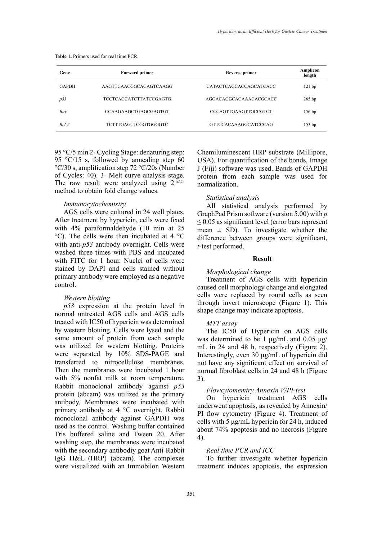| Gene         | Forward primer                | Reverse primer              | Amplicon<br>length |
|--------------|-------------------------------|-----------------------------|--------------------|
| <b>GAPDH</b> | AAGTTCAACGGCACAGTCAAGG        | CATACTCAGCACCAGCATCACC      | $121$ bp           |
| p53          | <b>TCCTCAGCATCTTATCCGAGTG</b> | AGGACAGGCACAAACACGCACC      | $265$ bp           |
| Bax          | <b>CCAAGAAGCTGAGCGAGTGT</b>   | <b>CCCAGTTGAAGTTGCCGTCT</b> | 156 <sub>bp</sub>  |
| $Rcl-2$      | TCTTTGAGTTCGGTGGGGTC          | GTTCCACAAAGGCATCCCAG        | 153 <sub>bp</sub>  |

**Table 1.** Primers used for real time PCR. **Table 1.** Primers used for real time PCR.

95 °C/5 min 2- Cycling Stage: denaturing step: 95  $\degree$ C/15 s, followed by annealing step 60 °C/30 s, amplification step 72 °C/20s (Number of Cycles: 40). 3- Melt curve analysis stage. The raw result were analyzed using 2<sup>-∆∆Ct</sup> method to obtain fold change values.

## *Immunocytochemistry*

AGS cells were cultured in 24 well plates. After treatment by hypericin, cells were fixed with 4% paraformaldehyde (10 min at 25 °C). The cells were then incubated at 4 °C with anti-*p53* antibody overnight. Cells were washed three times with PBS and incubated with FITC for 1 hour. Nuclei of cells were stained by DAPI and cells stained without primary antibody were employed as a negative control.

## *Western blotting*

*p53* expression at the protein level in normal untreated AGS cells and AGS cells treated with IC50 of hypericin was determined by western blotting. Cells were lysed and the same amount of protein from each sample was utilized for western blotting. Proteins were separated by 10% SDS-PAGE and transferred to nitrocellulose membranes. Then the membranes were incubated 1 hour with 5% nonfat milk at room temperature. Rabbit monoclonal antibody against *p53* protein (abcam) was utilized as the primary antibody. Membranes were incubated with primary antibody at 4 °C overnight. Rabbit monoclonal antibody against GAPDH was used as the control. Washing buffer contained Tris buffered saline and Tween 20. After washing step, the membranes were incubated with the secondary antibodiy goat Anti-Rabbit IgG H&L (HRP) (abcam). The complexes were visualized with an Immobilon Western

Chemiluminescent HRP substrate (Millipore, USA). For quantification of the bonds, Image J (Fiji) software was used. Bands of GAPDH protein from each sample was used for normalization.

## *Statistical analysis*

All statistical analysis performed by GraphPad Prism software (version 5.00) with *p*   $\leq$  0.05 as significant level (error bars represent mean  $\pm$  SD). To investigate whether the difference between groups were significant, *t*-test performed.

### **Result**

#### *Morphological change*

Treatment of AGS cells with hypericin caused cell morphology change and elongated cells were replaced by round cells as seen through invert microscope (Figure 1). This shape change may indicate apoptosis.

## *MTT assay*

The IC50 of Hypericin on AGS cells was determined to be 1 μg/mL and 0.05 μg/ mL in 24 and 48 h, respectively (Figure 2). Interestingly, even 30 μg/mL of hypericin did not have any significant effect on survival of normal fibroblast cells in 24 and 48 h (Figure 3).

#### *Flowcytomemtry Annexin V/PI-test*

On hypericin treatment AGS cells underwent apoptosis, as revealed by Annexin/ PI flow cytometry (Figure 4). Treatment of cells with 5 μg/mL hypericin for 24 h, induced about 74% apoptosis and no necrosis (Figure 4).

## *Real time PCR and ICC*

To further investigate whether hypericin treatment induces apoptosis, the expression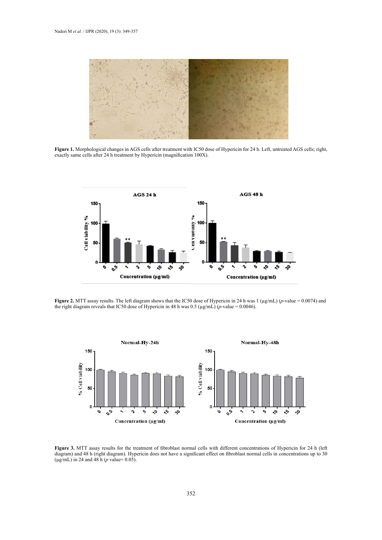

Figure 1. Morphological changes in AGS cells after treatment with IC50 dose of Hypericin for 24 h. Left, untreated AGS cells; right, same cells after 24 h treatment by Hypericin (magnification 100X). exactly same cells after 24 h treatment by Hypericin (magnification 100X).



Figure 2. MTT assay results. The left diagram shows that the IC50 dose of Hypericin in 24 h was 1 ( $\mu$ g/mL) (p-value = 0.0074) and the right diagram reveals that IC50 dose of Hypericin in 48 h was 0.5 ( $\mu$ g/mL) (*p*-value = 0.0046).



**Figure 3.** MTT assay results for the treatment of fibroblast normal cells with different concentrations of Hypericin for 24 h (left diagram) Hypericin for 24 h (left diagram) Hypericin does not have a significant effect o diagram) and 48 h (right diagram). Hypericin does not have a significant effect on fibroblast normal cells in concentrations up to 30 (µg/mL) in 24 and 48 h (*p* value= 0.05).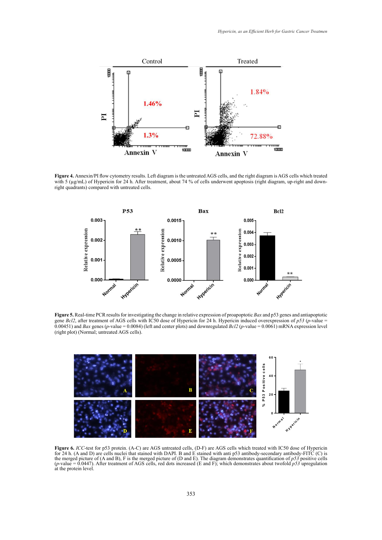

Figure 4. Annexin/PI flow cytometry results. Left diagram is the untreated AGS cells, and the right diagram is AGS cells which treated with 5 (µg/mL) of Hypericin for 24 h. After treatment, about 74 % of cells underwent apoptosis (right diagram, up-right and downright quadrants) compared with untreated cells.



**Figure 5.** Real-time PCR results for investigating the change in relative expression of proapoptotic *Bax* and p53 genes and antiapoptotic gene Figure 5. Real-time PCR results for investigating the change in relative expression of proapoptotic Bax and p53 genes and antiapoptotic  $\frac{1}{2}$  denotes (*p*-value = 0.0008 (*p*) and  $\frac{1}{2}$  (*p*-value = 0.0061) mandated *b* expression of *p*. *p*-value = 0.00061) mandated **b** 0.00451) and *Bax* genes (*p*-value = 0.0084) (left and center plots) and downregulated *Bcl2* (*p*-value = 0.0061) mRNA expression level gene *Bcl2*, after treatment of AGS cells with IC50 dose of Hypericin for 24 h. Hypericin induced overexpression of *p53* (*p*-value = (right plot) (Normal; untreated AGS cells).



*ICC*-test for p53 protein. (A-C) are AGS untreated cells, (D-F) are AGS cells which treated with IC50 dose of Hypericin Figure 6. ICC-test for p53 protein. (A-C) are AGS untreated cells, (D-F) are AGS cells which treated with IC50 dose of Hypericin<br>for 24 h. (A and D) are cells nuclei that stained with DAPI. B and E stained with anti p53 an the merged picture of (A and B), F is the merged picture of (D and E). The diagram demonstrates quantification of  $p53$  positive cells ( $p$ -value = 0.0447). After treatment of AGS cells, red dots increased (E and F); which demonstrates about twofold  $p53$  upregulation for 24 h. (A and D) are cells nuclei that stained with DAPI. B and E stained with anti p53 antibody-secondary antibody-FITC (C) is at the protein level.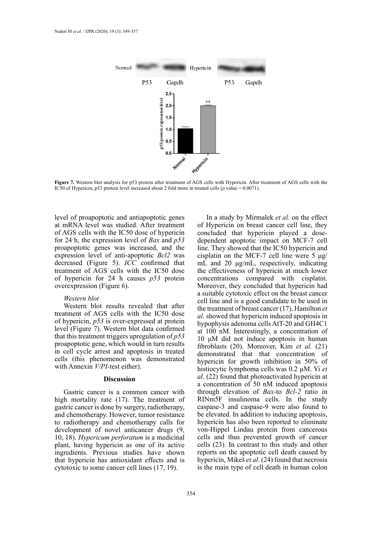

**Figure 7.** Western blot analysis for p53 protein after treatment of AGS cells with Hypericin. After treatment of AGS cells with the<br>IC50 of Hypericin, p53 protein lovel increased about 2 fold more in treated cells (n val Hypericin, p53 protein level increased about 2 fold more in treated cells (*p* value = 0.0071). IC50 of Hypericin, p53 protein level increased about 2 fold more in treated cells (*p* value = 0.0071).

level of proapoptotic and antiapoptotic genes at mRNA level was studied. After treatment of AGS cells with the IC50 dose of hypericin for 24 h, the expression level of *Bax* and *p53* proapoptotic genes was increased, and the expression level of anti-apoptotic *Bcl2* was decreased (Figure 5). *ICC* confirmed that treatment of AGS cells with the IC50 dose of hypericin for 24 h causes *p53* protein overexpression (Figure 6).

## *Western blot*

Western blot results revealed that after treatment of AGS cells with the IC50 dose of hypericin, *p53* is over-expressed at protein level (Figure 7). Western blot data confirmed that this treatment triggers upregulation of *p53* proapoptotic gene, which would in turn results in cell cycle arrest and apoptosis in treated cells (this phenomenon was demonstrated with Annexin *V/PI*-test either).

#### **Discussion**

Gastric cancer is a common cancer with high mortality rate (17). The treatment of gastric cancer is done by surgery, radiotherapy, and chemotherapy. However, tumor resistance to radiotherapy and chemotherapy calls for development of novel anticancer drugs (9, 10, 18). *Hypericum perforatum* is a medicinal plant, having hypericin as one of its active ingredients. Previous studies have shown that hypericin has antioxidant effects and is cytotoxic to some cancer cell lines (17, 19).

In a study by Mirmalek *et al.* on the effect of Hypericin on breast cancer cell line, they concluded that hypericin played a dosedependent apoptotic impact on MCF-7 cell line. They showed that the IC50 hypericin and cisplatin on the MCF-7 cell line were  $5 \mu g$ / mL and 20 μg/mL, respectively, indicating the effectiveness of hypericin at much lower concentrations compared with cisplatin. Moreover, they concluded that hypericin had a suitable cytotoxic effect on the breast cancer cell line and is a good candidate to be used in the treatment of breast cancer (17). Hamilton *et al.* showed that hypericin induced apoptosis in hypophysis adenoma cells AtT-20 and GH4C1 at 100 nM. Interestingly, a concentration of 10 μM did not induce apoptosis in human fibroblasts (20). Moreover, Kim *et al.* (21) demonstrated that that concentration of hypericin for growth inhibition in 50% of histiocytic lymphoma cells was 0.2 µM. Yi *et al*. (22) found that photoactivated hypericin at a concentration of 50 nM induced apoptosis through elevation of *Bax*-to *Bcl-2* ratio in RINm5F insulinoma cells. In the study caspase-3 and caspase-9 were also found to be elevated. In addition to inducing apoptosis, hypericin has also been reported to eliminate von-Hippel Lindau protein from cancerous cells and thus prevented growth of cancer cells (23). In contrast to this study and other reports on the apoptotic cell death caused by hypericin, Mikeš *et al*. (24) found that necrosis is the main type of cell death in human colon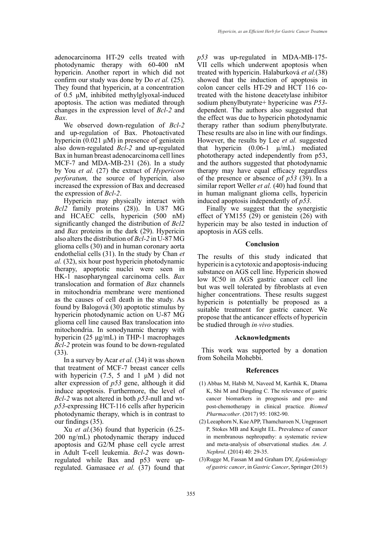adenocarcinoma HT-29 cells treated with photodynamic therapy with 60-400 nM hypericin. Another report in which did not confirm our study was done by Do *et al.* (25). They found that hypericin, at a concentration of 0.5 μM, inhibited methylglyoxal-induced apoptosis. The action was mediated through changes in the expression level of *Bcl-2* and *Bax*.

We observed down-regulation of *Bcl-2* and up-regulation of Bax. Photoactivated hypericin  $(0.021 \mu M)$  in presence of genistein also down-regulated *Bcl-2* and up-regulated Bax in human breast adenocarcinoma cell lines MCF-7 and MDA-MB-231 (26). In a study by You *et al.* (27) the extract of *Hypericom perforatum,* the source of hypericin*,* also increased the expression of Bax and decreased the expression of *Bcl-2*.

Hypericin may physically interact with *Bcl2* family proteins (28)). In U87 MG and HCAEC cells, hypericin (500 nM) significantly changed the distribution of *Bcl2* and *Bax* proteins in the dark (29). Hypericin also alters the distribution of *Bcl-2* in U-87 MG glioma cells (30) and in human coronary aorta endothelial cells (31). In the study by Chan *et al.* (32), six hour post hypericin photodynamic therapy, apoptotic nuclei were seen in HK-1 nasopharyngeal carcinoma cells. *Bax* translocation and formation of *Bax* channels in mitochondria membrane were mentioned as the causes of cell death in the study. As found by Balogová (30) apoptotic stimulus by hypericin photodynamic action on U-87 MG glioma cell line caused Bax translocation into mitochondria. In sonodynamic therapy with hypericin (25 μg/mL) in THP-1 macrophages *Bcl-2* protein was found to be down-regulated (33).

In a survey by Acar *et al.* (34) it was shown that treatment of MCF-7 breast cancer cells with hypericin (7.5, 5 and 1  $\mu$ M) did not alter expression of *p53* gene, although it did induce apoptosis. Furthermore, the level of *Bcl-2* was not altered in both *p53*-null and wt*p53*-expressing HCT-116 cells after hypericin photodynamic therapy, which is in contrast to our findings (35).

Xu *et al.*(36) found that hypericin (6.25- 200 ng/mL) photodynamic therapy induced apoptosis and G2/M phase cell cycle arrest in Adult T-cell leukemia. *Bcl-2* was downregulated while Bax and p53 were upregulated. Gamasaee *et al.* (37) found that

*p53* was up-regulated in MDA-MB-175- VII cells which underwent apoptosis when treated with hypericin. Halaburková *et al.*(38) showed that the induction of apoptosis in colon cancer cells HT-29 and HCT 116 cotreated with the histone deacetylase inhibitor sodium phenylbutyrate+ hypericine was *P53* dependent. The authors also suggested that the effect was due to hypericin photodynamic therapy rather than sodium phenylbutyrate. These results are also in line with our findings. However, the results by Lee *et al.* suggested that hypericin  $(0.06-1 \mu/mL)$  mediated phototherapy acted independently from p53, and the authors suggested that photodynamic therapy may have equal efficacy regardless of the presence or absence of *p53* (39). In a similar report Weller *et al.* (40) had found that in human malignant glioma cells, hypericin induced apoptosis independently of *p53*.

Finally we suggest that the synergistic effect of YM155 (29) or genistein (26) with hypericin may be also tested in induction of apoptosis in AGS cells.

## **Conclusion**

The results of this study indicated that hypericin is a cytotoxic and apoptosis-inducing substance on AGS cell line. Hypericin showed low IC50 in AGS gastric cancer cell line but was well tolerated by fibroblasts at even higher concentrations. These results suggest hypericin is potentially be proposed as a suitable treatment for gastric cancer. We propose that the anticancer effects of hypericin be studied through *in*-*vivo* studies.

#### **Acknowledgments**

This work was supported by a donation from Soheila Mohebbi.

#### **References**

- (1) Abbas M, Habib M, Naveed M, Karthik K, Dhama K, Shi M and Dingding C. The relevance of gastric cancer biomarkers in prognosis and pre- and post-chemotherapy in clinical practice*. Biomed Pharmacother*. (2017) 95: 1082-90.
- (2) Leeaphorn N, Kue APP, Thamcharoen N, Ungprasert P, Stokes MB and Knight EL. Prevalence of cancer in membranous nephropathy: a systematic review and meta-analysis of observational studies*. Am. J. Nephrol*. (2014) 40: 29-35.
- (3)Rugge M, Fassan M and Graham DY, *Epidemiology of gastric cancer*, in *Gastric Cancer*, Springer (2015)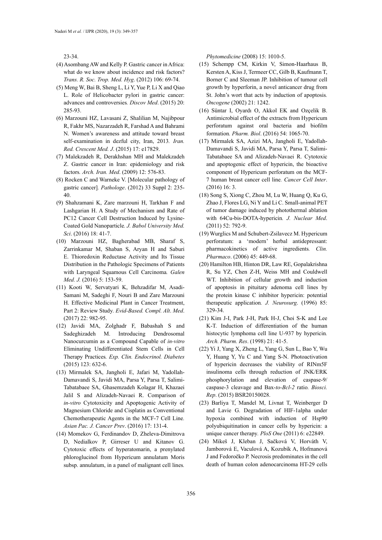23-34.

- (4) Asombang AW and Kelly P. Gastric cancer in Africa: what do we know about incidence and risk factors? *Trans. R. Soc. Trop. Med. Hyg*. (2012) 106: 69-74.
- (5) Meng W, Bai B, Sheng L, Li Y, Yue P, Li X and Qiao L. Role of Helicobacter pylori in gastric cancer: advances and controversies*. Discov Med*. (2015) 20: 285-93.
- (6) Marzouni HZ, Lavasani Z, Shalilian M, Najibpour R, Fakhr MS, Nazarzadeh R, Farshad A and Bahrami N. Women's awareness and attitude toward breast self-examination in dezful city, Iran, 2013*. Iran. Red. Crescent Med. J*. (2015) 17: e17829.
- (7) Malekzadeh R, Derakhshan MH and Malekzadeh Z. Gastric cancer in Iran: epidemiology and risk factors*. Arch. Iran. Med*. (2009) 12: 576-83.
- (8) Rocken C and Warneke V. [Molecular pathology of gastric cancer]*. Pathologe*. (2012) 33 Suppl 2: 235- 40.
- (9) Shahzamani K, Zare marzouni H, Tarkhan F and Lashgarian H. A Study of Mechanism and Rate of PC12 Cancer Cell Destruction Induced by Lysine-Coated Gold Nanoparticle*. J. Babol University Med. Sci*. (2016) 18: 41-7.
- (10) Marzouni HZ, Bagherabad MB, Sharaf S, Zarrinkamar M, Shaban S, Aryan H and Saburi E. Thioredoxin Reductase Activity and Its Tissue Distribution in the Pathologic Specimens of Patients with Laryngeal Squamous Cell Carcinoma*. Galen Med. J.* (2016) 5: 153-59.
- (11) Kooti W, Servatyari K, Behzadifar M, Asadi-Samani M, Sadeghi F, Nouri B and Zare Marzouni H. Effective Medicinal Plant in Cancer Treatment, Part 2: Review Study*. Evid-Based. Compl. Alt*. *Med*. (2017) 22: 982-95.
- (12) Javidi MA, Zolghadr F, Babashah S and Sadeghizadeh M. Introducing Dendrosomal Nanocurcumin as a Compound Capable of *in-vitro* Eliminating Undifferentiated Stem Cells in Cell Therapy Practices*. Exp. Clin. Endocrinol. Diabetes* (2015) 123: 632-6.
- (13) Mirmalek SA, Jangholi E, Jafari M, Yadollah-Damavandi S, Javidi MA, Parsa Y, Parsa T, Salimi-Tabatabaee SA, Ghasemzadeh Kolagar H, Khazaei Jalil S and Alizadeh-Navaei R. Comparison of *in-vitro* Cytotoxicity and Apoptogenic Activity of Magnesium Chloride and Cisplatin as Conventional Chemotherapeutic Agents in the MCF-7 Cell Line*. Asian Pac. J. Cancer Prev*. (2016) 17: 131-4.
- (14) Momekov G, Ferdinandov D, Zheleva-Dimitrova D, Nedialkov P, Girreser U and Kitanov G. Cytotoxic effects of hyperatomarin, a prenylated phloroglucinol from Hypericum annulatum Moris subsp. annulatum, in a panel of malignant cell lines*.*

*Phytomedicine* (2008) 15: 1010-5.

- (15) Schempp CM, Kirkin V, Simon-Haarhaus B, Kersten A, Kiss J, Termeer CC, Gilb B, Kaufmann T, Borner C and Sleeman JP. Inhibition of tumour cell growth by hyperforin, a novel anticancer drug from St. John's wort that acts by induction of apoptosis*. Oncogene* (2002) 21: 1242.
- (16) Süntar I, Oyardı O, Akkol EK and Ozçelik B. Antimicrobial effect of the extracts from Hypericum perforatum against oral bacteria and biofilm formation*. Pharm. Biol*. (2016) 54: 1065-70.
- (17) Mirmalek SA, Azizi MA, Jangholi E, Yadollah-Damavandi S, Javidi MA, Parsa Y, Parsa T, Salimi-Tabatabaee SA and Alizadeh-Navaei R. Cytotoxic and apoptogenic effect of hypericin, the bioactive component of Hypericum perforatum on the MCF-7 human breast cancer cell line*. Cancer Cell Inter*. (2016) 16: 3.
- (18) Song S, Xiong C, Zhou M, Lu W, Huang Q, Ku G, Zhao J, Flores LG, Ni Y and Li C. Small-animal PET of tumor damage induced by photothermal ablation with 64Cu-bis-DOTA-hypericin*. J. Nuclear Med*. (2011) 52: 792-9.
- (19) Wurglics M and Schubert-Zsilavecz M. Hypericum perforatum: a 'modern' herbal antidepressant: pharmacokinetics of active ingredients*. Clin. Pharmaco*. (2006) 45: 449-68.
- (20) Hamilton HB, Hinton DR, Law RE, Gopalakrishna R, Su YZ, Chen Z-H, Weiss MH and Couldwell WT. Inhibition of cellular growth and induction of apoptosis in pituitary adenoma cell lines by the protein kinase C inhibitor hypericin: potential therapeutic application*. J. Neurosurg*. (1996) 85: 329-34.
- (21) Kim J-I, Park J-H, Park H-J, Choi S-K and Lee K-T. Induction of differentiation of the human histocytic lymphoma cell line U-937 by hypericin*. Arch. Pharm. Res*. (1998) 21: 41-5.
- (22) Yi J, Yang X, Zheng L, Yang G, Sun L, Bao Y, Wu Y, Huang Y, Yu C and Yang S-N. Photoactivation of hypericin decreases the viability of RINm5F insulinoma cells through reduction of JNK/ERK phosphorylation and elevation of caspase-9/ caspase-3 cleavage and Bax-*to-Bcl-2* ratio*. Biosci. Rep*. (2015) BSR20150028.
- (23) Barliya T, Mandel M, Livnat T, Weinberger D and Lavie G. Degradation of HIF-1alpha under hypoxia combined with induction of Hsp90 polyubiquitination in cancer cells by hypericin: a unique cancer therapy*. PloS One* (2011) 6: e22849.
- (24) Mikeš J, Kleban J, Sačková V, Horváth V, Jamborová E, Vaculová A, Kozubík A, Hofmanová J and Fedoročko P. Necrosis predominates in the cell death of human colon adenocarcinoma HT-29 cells